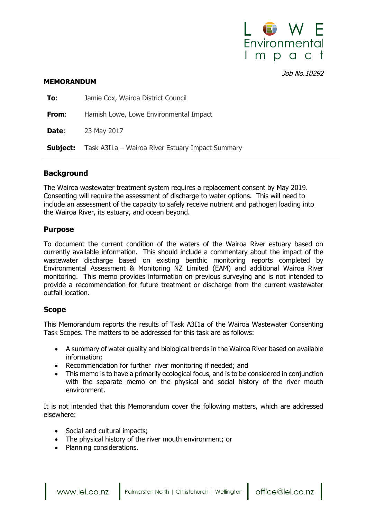

Job No.10292

#### **MEMORANDUM**

| To:          | Jamie Cox, Wairoa District Council                               |
|--------------|------------------------------------------------------------------|
| From:        | Hamish Lowe, Lowe Environmental Impact                           |
| <b>Date:</b> | 23 May 2017                                                      |
|              | <b>Subject:</b> Task A3I1a – Wairoa River Estuary Impact Summary |

#### **Background**

The Wairoa wastewater treatment system requires a replacement consent by May 2019. Consenting will require the assessment of discharge to water options. This will need to include an assessment of the capacity to safely receive nutrient and pathogen loading into the Wairoa River, its estuary, and ocean beyond.

#### **Purpose**

To document the current condition of the waters of the Wairoa River estuary based on currently available information. This should include a commentary about the impact of the wastewater discharge based on existing benthic monitoring reports completed by Environmental Assessment & Monitoring NZ Limited (EAM) and additional Wairoa River monitoring. This memo provides information on previous surveying and is not intended to provide a recommendation for future treatment or discharge from the current wastewater outfall location.

## **Scope**

This Memorandum reports the results of Task A3I1a of the Wairoa Wastewater Consenting Task Scopes. The matters to be addressed for this task are as follows:

- A summary of water quality and biological trends in the Wairoa River based on available information;
- Recommendation for further river monitoring if needed; and
- This memo is to have a primarily ecological focus, and is to be considered in conjunction with the separate memo on the physical and social history of the river mouth environment.

It is not intended that this Memorandum cover the following matters, which are addressed elsewhere:

- Social and cultural impacts;
- The physical history of the river mouth environment; or
- Planning considerations.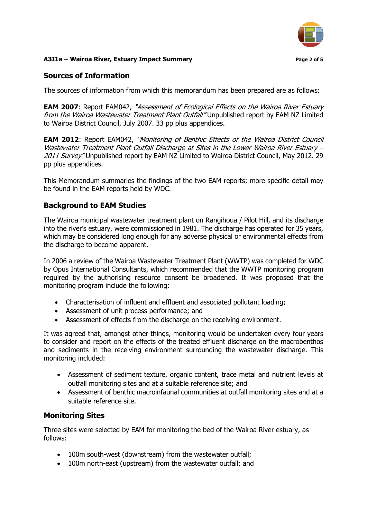

#### **A3I1a – Wairoa River, Estuary Impact Summary Page 2 of 5**

## **Sources of Information**

The sources of information from which this memorandum has been prepared are as follows:

**EAM 2007**: Report EAM042, "Assessment of Ecological Effects on the Wairoa River Estuary from the Wairoa Wastewater Treatment Plant Outfall" Unpublished report by EAM NZ Limited to Wairoa District Council, July 2007. 33 pp plus appendices.

**EAM 2012:** Report EAM042, "Monitoring of Benthic Effects of the Wairoa District Council Wastewater Treatment Plant Outfall Discharge at Sites in the Lower Wairoa River Estuary – 2011 Survey" Unpublished report by EAM NZ Limited to Wairoa District Council, May 2012. 29 pp plus appendices.

This Memorandum summaries the findings of the two EAM reports; more specific detail may be found in the EAM reports held by WDC.

## **Background to EAM Studies**

The Wairoa municipal wastewater treatment plant on Rangihoua / Pilot Hill, and its discharge into the river's estuary, were commissioned in 1981. The discharge has operated for 35 years, which may be considered long enough for any adverse physical or environmental effects from the discharge to become apparent.

In 2006 a review of the Wairoa Wastewater Treatment Plant (WWTP) was completed for WDC by Opus International Consultants, which recommended that the WWTP monitoring program required by the authorising resource consent be broadened. It was proposed that the monitoring program include the following:

- Characterisation of influent and effluent and associated pollutant loading;
- Assessment of unit process performance; and
- Assessment of effects from the discharge on the receiving environment.

It was agreed that, amongst other things, monitoring would be undertaken every four years to consider and report on the effects of the treated effluent discharge on the macrobenthos and sediments in the receiving environment surrounding the wastewater discharge. This monitoring included:

- Assessment of sediment texture, organic content, trace metal and nutrient levels at outfall monitoring sites and at a suitable reference site; and
- Assessment of benthic macroinfaunal communities at outfall monitoring sites and at a suitable reference site.

## **Monitoring Sites**

Three sites were selected by EAM for monitoring the bed of the Wairoa River estuary, as follows:

- 100m south-west (downstream) from the wastewater outfall;
- 100m north-east (upstream) from the wastewater outfall; and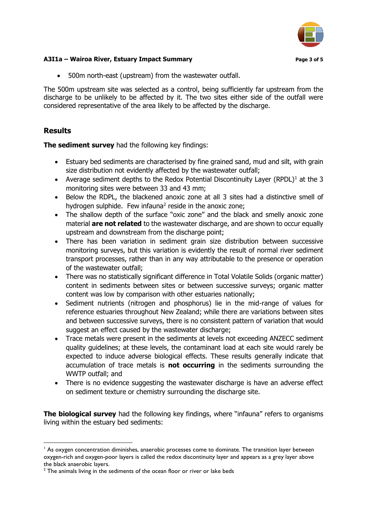

#### **A3I1a – Wairoa River, Estuary Impact Summary Page 3 of 5**

• 500m north-east (upstream) from the wastewater outfall.

The 500m upstream site was selected as a control, being sufficiently far upstream from the discharge to be unlikely to be affected by it. The two sites either side of the outfall were considered representative of the area likely to be affected by the discharge.

# **Results**

 $\overline{a}$ 

**The sediment survey** had the following key findings:

- Estuary bed sediments are characterised by fine grained sand, mud and silt, with grain size distribution not evidently affected by the wastewater outfall;
- Average sediment depths to the Redox Potential Discontinuity Layer (RPDL)<sup>1</sup> at the 3 monitoring sites were between 33 and 43 mm;
- Below the RDPL, the blackened anoxic zone at all 3 sites had a distinctive smell of hydrogen sulphide. Few infauna<sup>2</sup> reside in the anoxic zone;
- The shallow depth of the surface "oxic zone" and the black and smelly anoxic zone material **are not related** to the wastewater discharge, and are shown to occur equally upstream and downstream from the discharge point;
- There has been variation in sediment grain size distribution between successive monitoring surveys, but this variation is evidently the result of normal river sediment transport processes, rather than in any way attributable to the presence or operation of the wastewater outfall;
- There was no statistically significant difference in Total Volatile Solids (organic matter) content in sediments between sites or between successive surveys; organic matter content was low by comparison with other estuaries nationally;
- Sediment nutrients (nitrogen and phosphorus) lie in the mid-range of values for reference estuaries throughout New Zealand; while there are variations between sites and between successive surveys, there is no consistent pattern of variation that would suggest an effect caused by the wastewater discharge;
- Trace metals were present in the sediments at levels not exceeding ANZECC sediment quality guidelines; at these levels, the contaminant load at each site would rarely be expected to induce adverse biological effects. These results generally indicate that accumulation of trace metals is **not occurring** in the sediments surrounding the WWTP outfall; and
- There is no evidence suggesting the wastewater discharge is have an adverse effect on sediment texture or chemistry surrounding the discharge site.

**The biological survey** had the following key findings, where "infauna" refers to organisms living within the estuary bed sediments:

 $<sup>1</sup>$  As oxygen concentration diminishes, anaerobic processes come to dominate. The transition layer between</sup> oxygen-rich and oxygen-poor layers is called the redox discontinuity layer and appears as a grey layer above the black anaerobic layers.

 $2$  The animals living in the sediments of the ocean floor or river or lake beds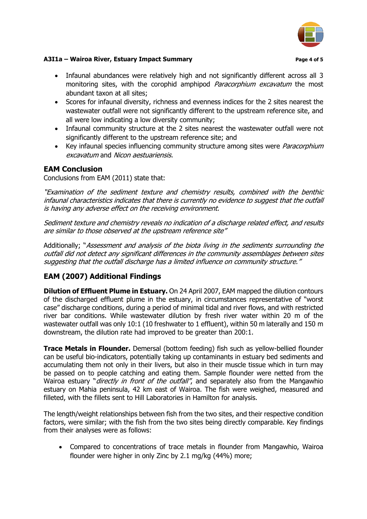

#### **A3I1a – Wairoa River, Estuary Impact Summary Page 4 of 5**

- Infaunal abundances were relatively high and not significantly different across all 3 monitoring sites, with the corophid amphipod *Paracorphium excavatum* the most abundant taxon at all sites;
- Scores for infaunal diversity, richness and evenness indices for the 2 sites nearest the wastewater outfall were not significantly different to the upstream reference site, and all were low indicating a low diversity community;
- Infaunal community structure at the 2 sites nearest the wastewater outfall were not significantly different to the upstream reference site; and
- Key infaunal species influencing community structure among sites were *Paracorphium* excavatum and Nicon aestuariensis.

## **EAM Conclusion**

Conclusions from EAM (2011) state that:

"Examination of the sediment texture and chemistry results, combined with the benthic infaunal characteristics indicates that there is currently no evidence to suggest that the outfall is having any adverse effect on the receiving environment.

Sediment texture and chemistry reveals no indication of a discharge related effect, and results are similar to those observed at the upstream reference site"

Additionally; "Assessment and analysis of the biota living in the sediments surrounding the outfall did not detect any significant differences in the community assemblages between sites suggesting that the outfall discharge has a limited influence on community structure."

# **EAM (2007) Additional Findings**

**Dilution of Effluent Plume in Estuary.** On 24 April 2007, EAM mapped the dilution contours of the discharged effluent plume in the estuary, in circumstances representative of "worst case" discharge conditions, during a period of minimal tidal and river flows, and with restricted river bar conditions. While wastewater dilution by fresh river water within 20 m of the wastewater outfall was only 10:1 (10 freshwater to 1 effluent), within 50 m laterally and 150 m downstream, the dilution rate had improved to be greater than 200:1.

**Trace Metals in Flounder.** Demersal (bottom feeding) fish such as yellow-bellied flounder can be useful bio-indicators, potentially taking up contaminants in estuary bed sediments and accumulating them not only in their livers, but also in their muscle tissue which in turn may be passed on to people catching and eating them. Sample flounder were netted from the Wairoa estuary "*directly in front of the outfall"*, and separately also from the Mangawhio estuary on Mahia peninsula, 42 km east of Wairoa. The fish were weighed, measured and filleted, with the fillets sent to Hill Laboratories in Hamilton for analysis.

The length/weight relationships between fish from the two sites, and their respective condition factors, were similar; with the fish from the two sites being directly comparable. Key findings from their analyses were as follows:

• Compared to concentrations of trace metals in flounder from Mangawhio, Wairoa flounder were higher in only Zinc by 2.1 mg/kg (44%) more;